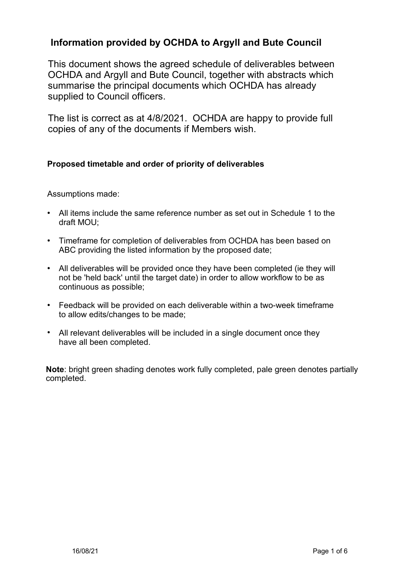# **Information provided by OCHDA to Argyll and Bute Council**

This document shows the agreed schedule of deliverables between OCHDA and Argyll and Bute Council, together with abstracts which summarise the principal documents which OCHDA has already supplied to Council officers.

The list is correct as at 4/8/2021. OCHDA are happy to provide full copies of any of the documents if Members wish.

# **Proposed timetable and order of priority of deliverables**

Assumptions made:

- All items include the same reference number as set out in Schedule 1 to the draft MOU;
- Timeframe for completion of deliverables from OCHDA has been based on ABC providing the listed information by the proposed date;
- All deliverables will be provided once they have been completed (ie they will not be 'held back' until the target date) in order to allow workflow to be as continuous as possible;
- Feedback will be provided on each deliverable within a two-week timeframe to allow edits/changes to be made;
- All relevant deliverables will be included in a single document once they have all been completed.

**Note**: bright green shading denotes work fully completed, pale green denotes partially completed.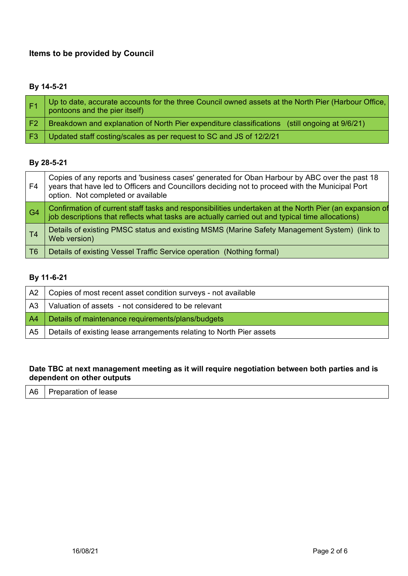# **Items to be provided by Council**

## **By 14-5-21**

|     | Up to date, accurate accounts for the three Council owned assets at the North Pier (Harbour Office,<br>pontoons and the pier itself) |
|-----|--------------------------------------------------------------------------------------------------------------------------------------|
| -F2 | Breakdown and explanation of North Pier expenditure classifications (still ongoing at 9/6/21)                                        |
|     | F3   Updated staff costing/scales as per request to SC and JS of 12/2/21                                                             |

## **By 28-5-21**

| F4             | Copies of any reports and 'business cases' generated for Oban Harbour by ABC over the past 18<br>years that have led to Officers and Councillors deciding not to proceed with the Municipal Port<br>option. Not completed or available |
|----------------|----------------------------------------------------------------------------------------------------------------------------------------------------------------------------------------------------------------------------------------|
| G <sub>4</sub> | Confirmation of current staff tasks and responsibilities undertaken at the North Pier (an expansion of<br>job descriptions that reflects what tasks are actually carried out and typical time allocations)                             |
| T <sub>4</sub> | Details of existing PMSC status and existing MSMS (Marine Safety Management System) (link to<br>Web version)                                                                                                                           |
| T6             | Details of existing Vessel Traffic Service operation (Nothing formal)                                                                                                                                                                  |

### **By 11-6-21**

| A2             | Copies of most recent asset condition surveys - not available        |
|----------------|----------------------------------------------------------------------|
| A <sub>3</sub> | Valuation of assets - not considered to be relevant                  |
| A4             | Details of maintenance requirements/plans/budgets                    |
| A5             | Details of existing lease arrangements relating to North Pier assets |

### **Date TBC at next management meeting as it will require negotiation between both parties and is dependent on other outputs**

| A <sub>6</sub><br>Preparation of lease |  |
|----------------------------------------|--|
|----------------------------------------|--|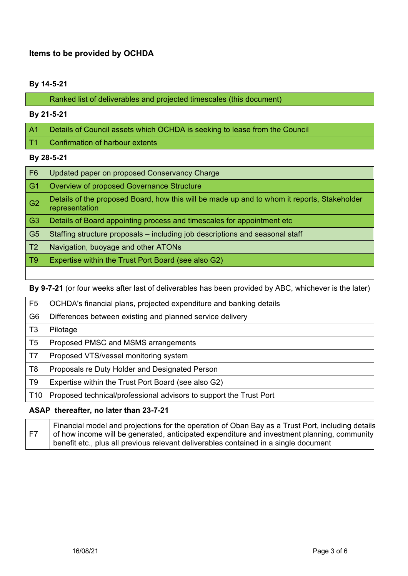## **Items to be provided by OCHDA**

#### **By 14-5-21**

#### **By 21-5-21**

| A1   Details of Council assets which OCHDA is seeking to lease from the Council |
|---------------------------------------------------------------------------------|
| T1   Confirmation of harbour extents                                            |

#### **By 28-5-21**

| F <sub>6</sub> | Updated paper on proposed Conservancy Charge                                                                  |
|----------------|---------------------------------------------------------------------------------------------------------------|
| G <sub>1</sub> | Overview of proposed Governance Structure                                                                     |
| G <sub>2</sub> | Details of the proposed Board, how this will be made up and to whom it reports, Stakeholder<br>representation |
| G <sub>3</sub> | Details of Board appointing process and timescales for appointment etc                                        |
| G <sub>5</sub> | Staffing structure proposals - including job descriptions and seasonal staff                                  |
| T <sub>2</sub> | Navigation, buoyage and other ATONs                                                                           |
| T <sub>9</sub> | Expertise within the Trust Port Board (see also G2)                                                           |
|                |                                                                                                               |

**By 9-7-21** (or four weeks after last of deliverables has been provided by ABC, whichever is the later)

| F <sub>5</sub>  | OCHDA's financial plans, projected expenditure and banking details |
|-----------------|--------------------------------------------------------------------|
| G <sub>6</sub>  | Differences between existing and planned service delivery          |
| T <sub>3</sub>  | Pilotage                                                           |
| T <sub>5</sub>  | Proposed PMSC and MSMS arrangements                                |
| T7              | Proposed VTS/vessel monitoring system                              |
| T8              | Proposals re Duty Holder and Designated Person                     |
| T9              | Expertise within the Trust Port Board (see also G2)                |
| T <sub>10</sub> | Proposed technical/professional advisors to support the Trust Port |

#### **ASAP thereafter, no later than 23-7-21**

F7 Financial model and projections for the operation of Oban Bay as a Trust Port, including details of how income will be generated, anticipated expenditure and investment planning, community benefit etc., plus all previous relevant deliverables contained in a single document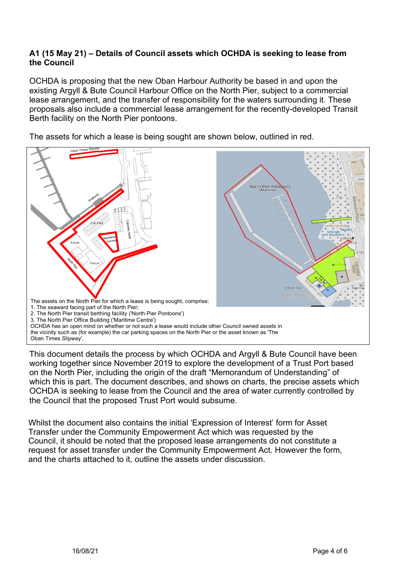### **A1 (15 May 21) – Details of Council assets which OCHDA is seeking to lease from the Council**

OCHDA is proposing that the new Oban Harbour Authority be based in and upon the existing Argyll & Bute Council Harbour Office on the North Pier, subject to a commercial lease arrangement, and the transfer of responsibility for the waters surrounding it. These proposals also include a commercial lease arrangement for the recently-developed Transit Berth facility on the North Pier pontoons.

The assets for which a lease is being sought are shown below, outlined in red.



This document details the process by which OCHDA and Argyll & Bute Council have been working together since November 2019 to explore the development of a Trust Port based on the North Pier, including the origin of the draft "Memorandum of Understanding" of which this is part. The document describes, and shows on charts, the precise assets which OCHDA is seeking to lease from the Council and the area of water currently controlled by the Council that the proposed Trust Port would subsume.

Whilst the document also contains the initial 'Expression of Interest' form for Asset Transfer under the Community Empowerment Act which was requested by the Council, it should be noted that the proposed lease arrangements do not constitute a request for asset transfer under the Community Empowerment Act. However the form, and the charts attached to it, outline the assets under discussion.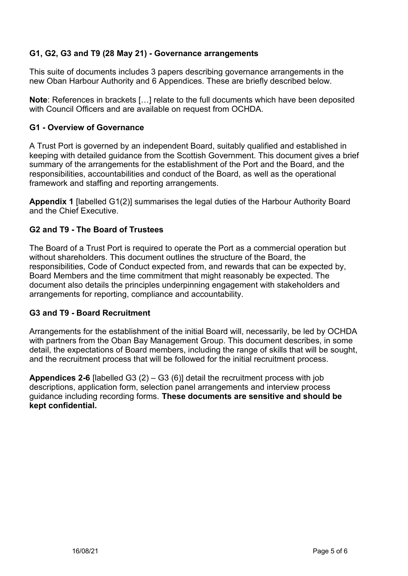# **G1, G2, G3 and T9 (28 May 21) - Governance arrangements**

This suite of documents includes 3 papers describing governance arrangements in the new Oban Harbour Authority and 6 Appendices. These are briefly described below.

**Note**: References in brackets […] relate to the full documents which have been deposited with Council Officers and are available on request from OCHDA.

### **G1 - Overview of Governance**

A Trust Port is governed by an independent Board, suitably qualified and established in keeping with detailed guidance from the Scottish Government. This document gives a brief summary of the arrangements for the establishment of the Port and the Board, and the responsibilities, accountabilities and conduct of the Board, as well as the operational framework and staffing and reporting arrangements.

**Appendix 1** [labelled G1(2)] summarises the legal duties of the Harbour Authority Board and the Chief Executive.

### **G2 and T9 - The Board of Trustees**

The Board of a Trust Port is required to operate the Port as a commercial operation but without shareholders. This document outlines the structure of the Board, the responsibilities, Code of Conduct expected from, and rewards that can be expected by, Board Members and the time commitment that might reasonably be expected. The document also details the principles underpinning engagement with stakeholders and arrangements for reporting, compliance and accountability.

### **G3 and T9 - Board Recruitment**

Arrangements for the establishment of the initial Board will, necessarily, be led by OCHDA with partners from the Oban Bay Management Group. This document describes, in some detail, the expectations of Board members, including the range of skills that will be sought, and the recruitment process that will be followed for the initial recruitment process.

**Appendices 2-6** [labelled G3 (2) – G3 (6)] detail the recruitment process with job descriptions, application form, selection panel arrangements and interview process guidance including recording forms. **These documents are sensitive and should be kept confidential.**